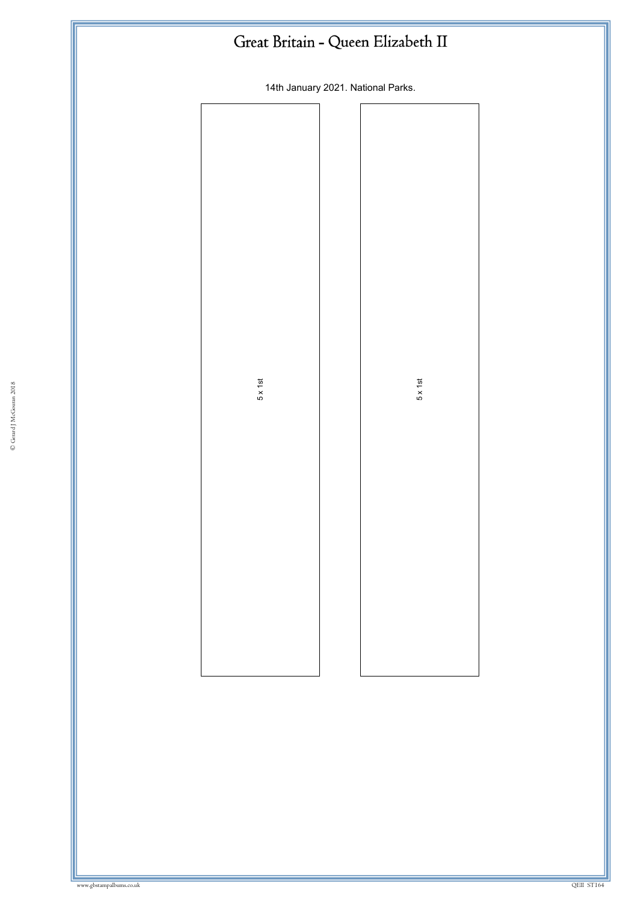| Great Britain - Queen Elizabeth II |                 |  |                                    |  |
|------------------------------------|-----------------|--|------------------------------------|--|
|                                    |                 |  | 14th January 2021. National Parks. |  |
|                                    |                 |  |                                    |  |
|                                    |                 |  |                                    |  |
|                                    |                 |  |                                    |  |
|                                    |                 |  |                                    |  |
|                                    |                 |  |                                    |  |
|                                    | $5 \times 1$ st |  | $5 \times 1$ st                    |  |
|                                    |                 |  |                                    |  |
|                                    |                 |  |                                    |  |
|                                    |                 |  |                                    |  |
|                                    |                 |  |                                    |  |
|                                    |                 |  |                                    |  |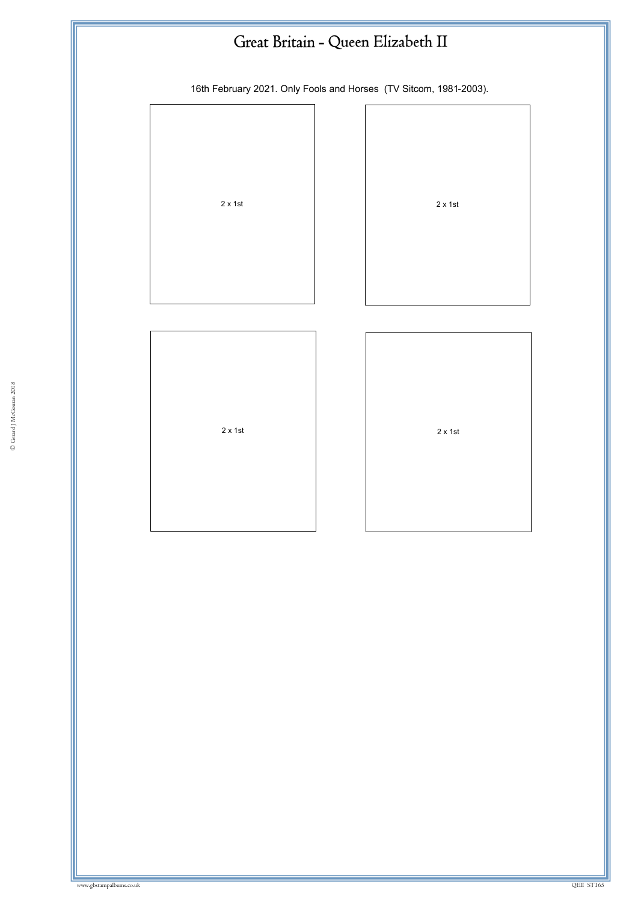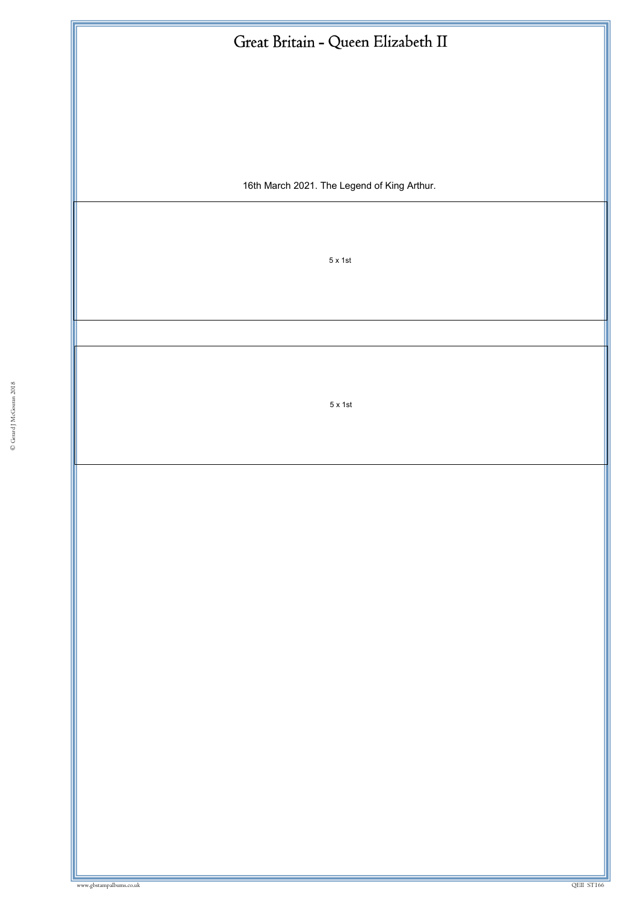| Great Britain - Queen Elizabeth II          |  |  |
|---------------------------------------------|--|--|
|                                             |  |  |
|                                             |  |  |
|                                             |  |  |
| 16th March 2021. The Legend of King Arthur. |  |  |
|                                             |  |  |
| $5 \times 1$ st                             |  |  |
|                                             |  |  |
|                                             |  |  |
| $5 \times 1$ st                             |  |  |
|                                             |  |  |
|                                             |  |  |
|                                             |  |  |
|                                             |  |  |
|                                             |  |  |
|                                             |  |  |
|                                             |  |  |
|                                             |  |  |
|                                             |  |  |
|                                             |  |  |
|                                             |  |  |
|                                             |  |  |
| QEII ST166                                  |  |  |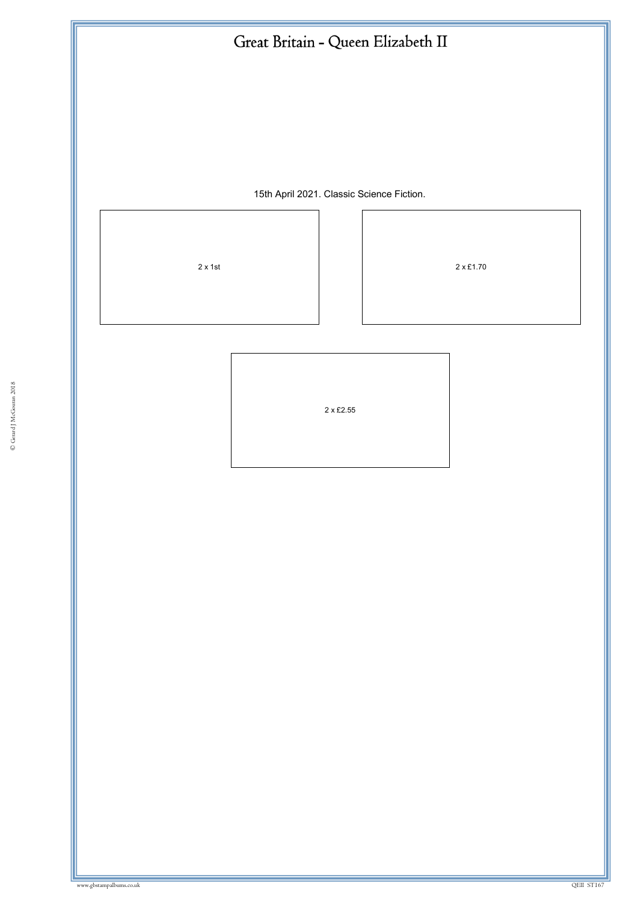15th April 2021. Classic Science Fiction.

 $2 \times 1$ st 2  $\times 2 \times 21.70$ 

© Gerard J McGouran 2018 ww.gbstampalbums.co.uk 2 x £2.55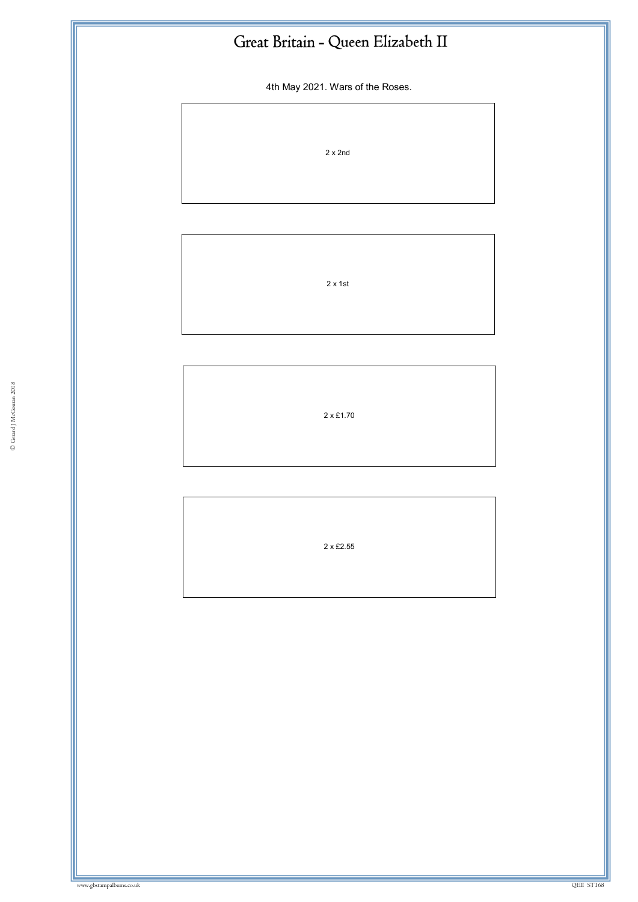4th May 2021. Wars of the Roses.

2 x 2nd

2 x 1st

2 x £1.70

2 x £2.55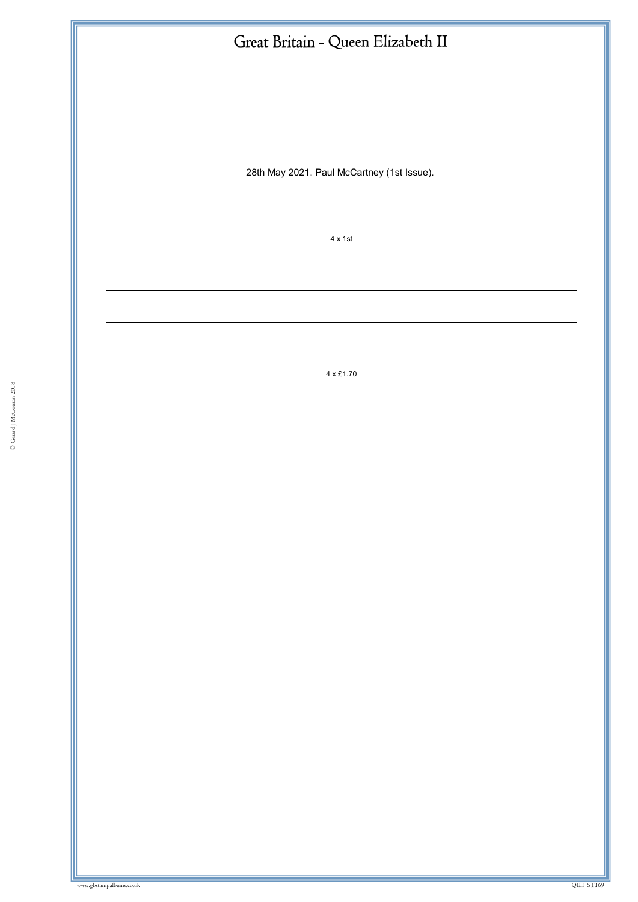| Great Britain - Queen Elizabeth II         |  |
|--------------------------------------------|--|
|                                            |  |
|                                            |  |
|                                            |  |
| 28th May 2021. Paul McCartney (1st Issue). |  |
|                                            |  |
| $4 \times 1$ st                            |  |
|                                            |  |
|                                            |  |
|                                            |  |

4 x £1.70

ww.gbstampalbums.com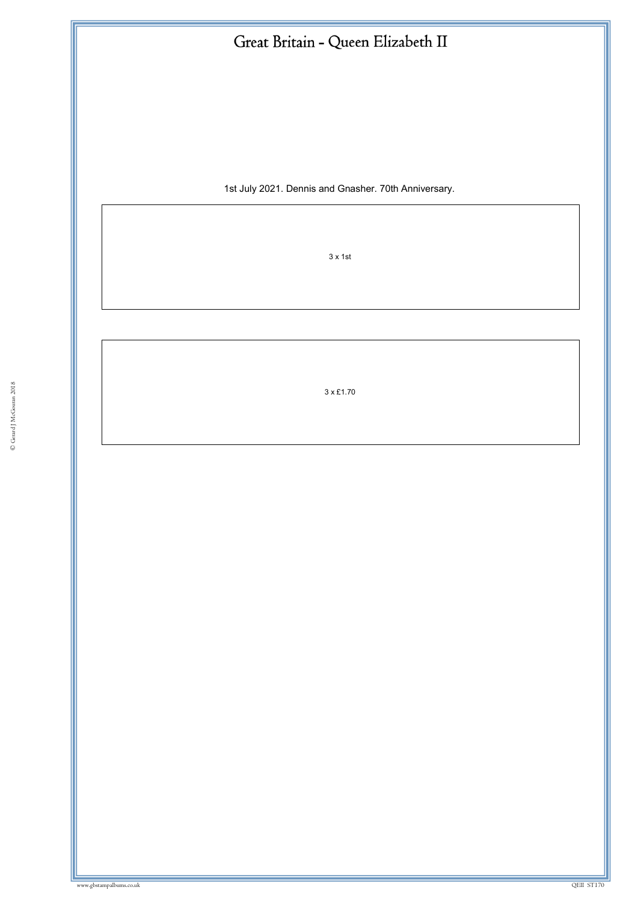|  | Great Britain - Queen Elizabeth II |
|--|------------------------------------|
|--|------------------------------------|

1st July 2021. Dennis and Gnasher. 70th Anniversary.

3 x 1st

 $3 \times £1.70$ 3 x £1.70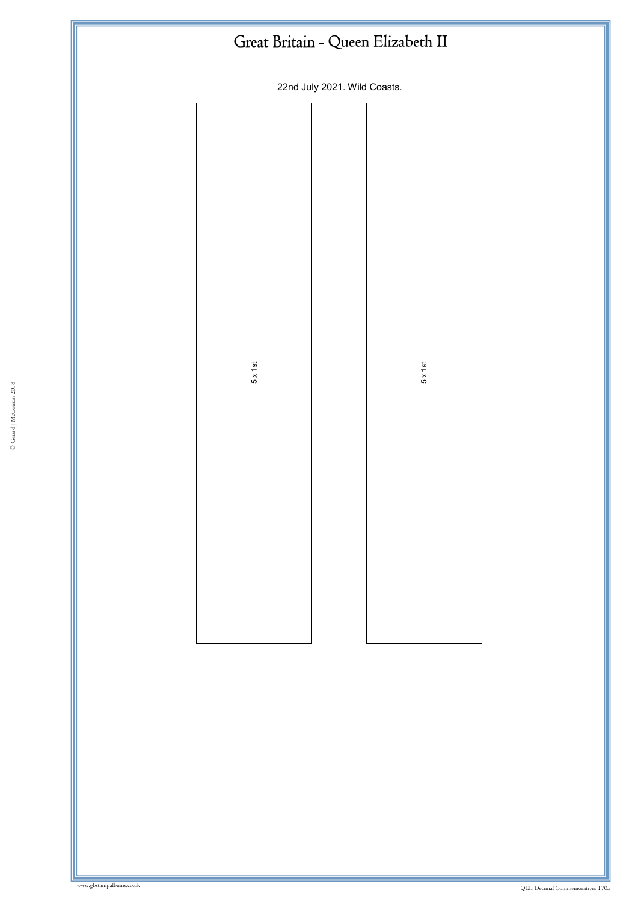|                 | Great Britain - Queen Elizabeth II |                 |  |
|-----------------|------------------------------------|-----------------|--|
|                 | 22nd July 2021. Wild Coasts.       |                 |  |
|                 |                                    |                 |  |
| $5 \times 1$ st |                                    | $5 \times 1$ st |  |
|                 |                                    |                 |  |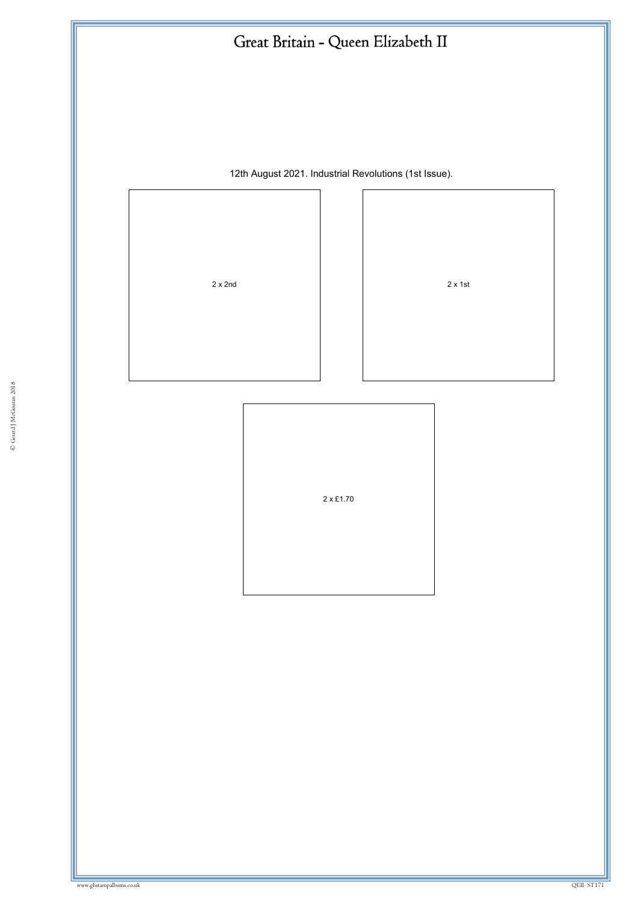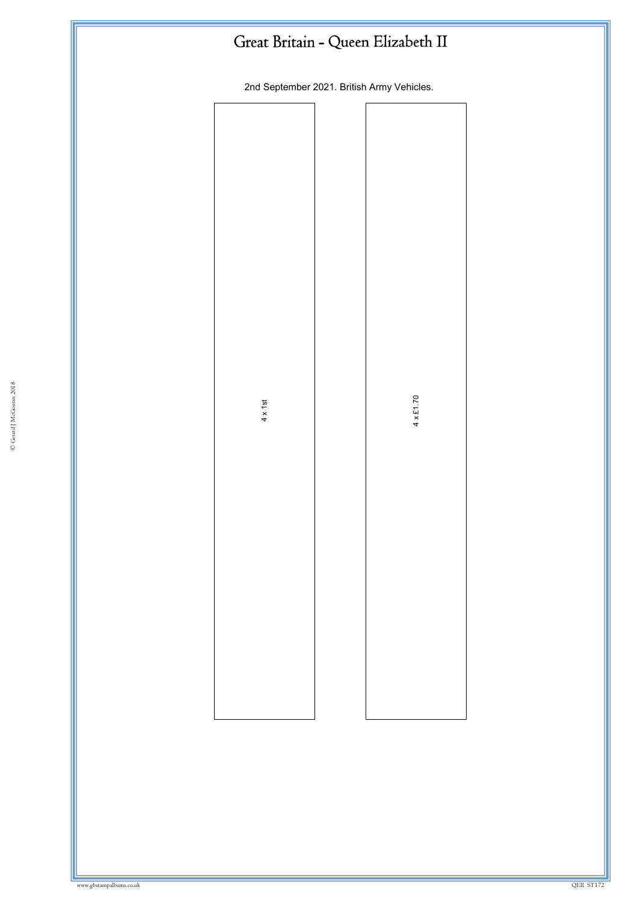| Great Britain - Queen Elizabeth II |
|------------------------------------|
|------------------------------------|

2nd September 2021. British Army Vehicles.

| $4 \times 1$ st | $4 \times £1.70$ |  |
|-----------------|------------------|--|
|                 |                  |  |
|                 |                  |  |
|                 |                  |  |
|                 |                  |  |
|                 |                  |  |
|                 |                  |  |
|                 |                  |  |
|                 |                  |  |
|                 |                  |  |
|                 |                  |  |
|                 |                  |  |
|                 |                  |  |
|                 |                  |  |
|                 |                  |  |
|                 |                  |  |
|                 |                  |  |
|                 |                  |  |
|                 |                  |  |
|                 |                  |  |
|                 |                  |  |
|                 |                  |  |
|                 |                  |  |
|                 |                  |  |
|                 |                  |  |
|                 |                  |  |
|                 |                  |  |
|                 |                  |  |
|                 |                  |  |
|                 |                  |  |
|                 |                  |  |
|                 |                  |  |
|                 |                  |  |
|                 |                  |  |
|                 |                  |  |
|                 |                  |  |
|                 |                  |  |
|                 |                  |  |
|                 |                  |  |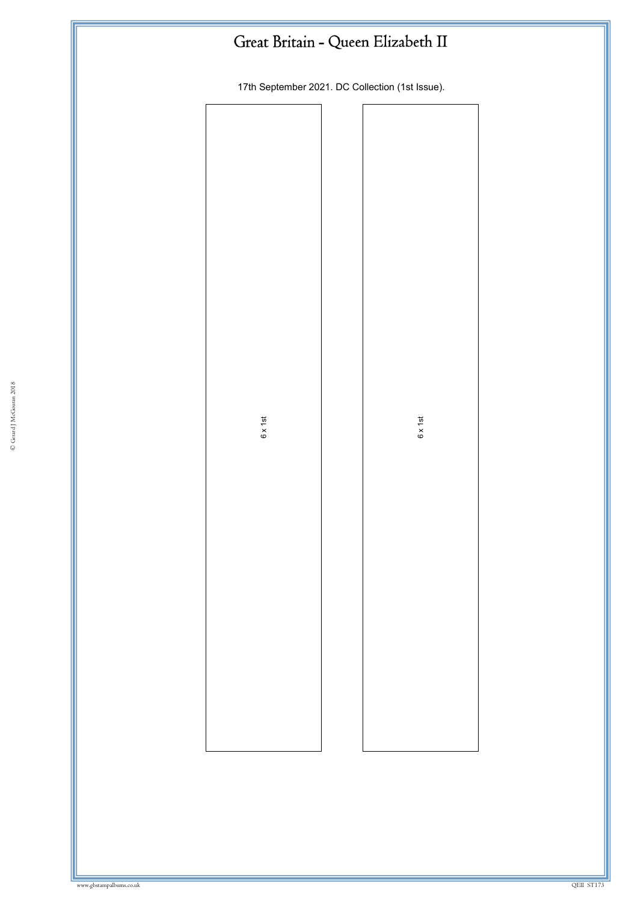|  |  |  | Great Britain - Queen Elizabeth II |  |
|--|--|--|------------------------------------|--|
|--|--|--|------------------------------------|--|

17th September 2021. DC Collection (1st Issue).

| $6 \times 1$ st |  | $6 \times 1$ st |
|-----------------|--|-----------------|
|                 |  |                 |
|                 |  |                 |
|                 |  |                 |
|                 |  |                 |
|                 |  |                 |
|                 |  |                 |
|                 |  |                 |
|                 |  |                 |
|                 |  |                 |
|                 |  |                 |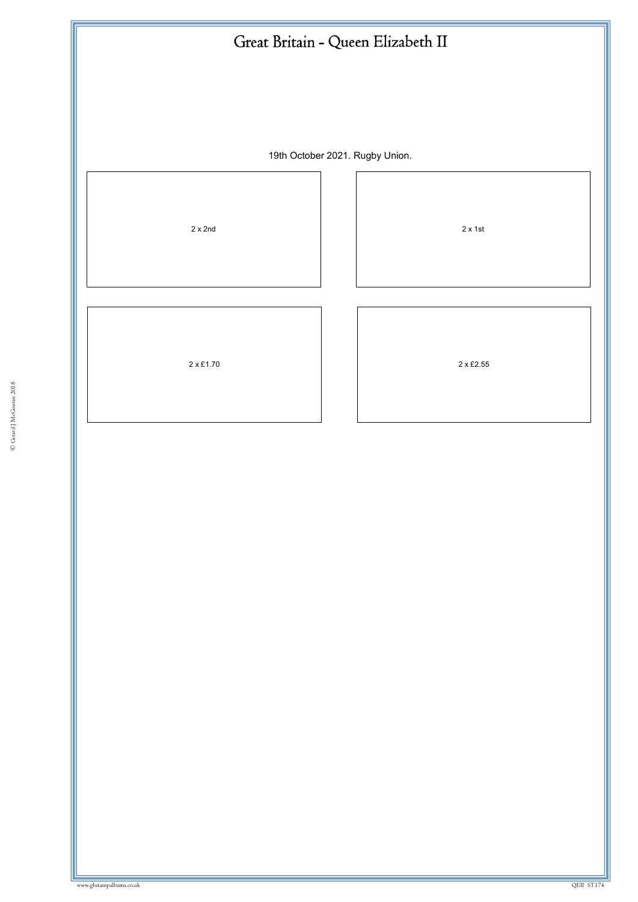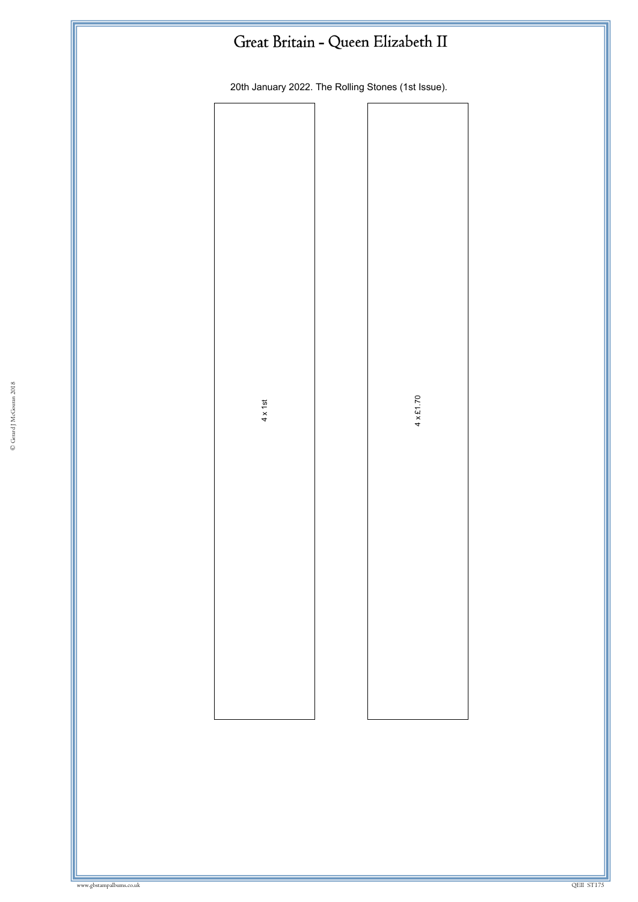| Great Britain - Queen Elizabeth II                 |  |                  |  |
|----------------------------------------------------|--|------------------|--|
| 20th January 2022. The Rolling Stones (1st Issue). |  |                  |  |
|                                                    |  |                  |  |
|                                                    |  |                  |  |
|                                                    |  |                  |  |
|                                                    |  |                  |  |
|                                                    |  |                  |  |
|                                                    |  |                  |  |
| $4 \times 1$ st                                    |  | $4 \times £1.70$ |  |
|                                                    |  |                  |  |
|                                                    |  |                  |  |
|                                                    |  |                  |  |
|                                                    |  |                  |  |
|                                                    |  |                  |  |
|                                                    |  |                  |  |
|                                                    |  |                  |  |
|                                                    |  |                  |  |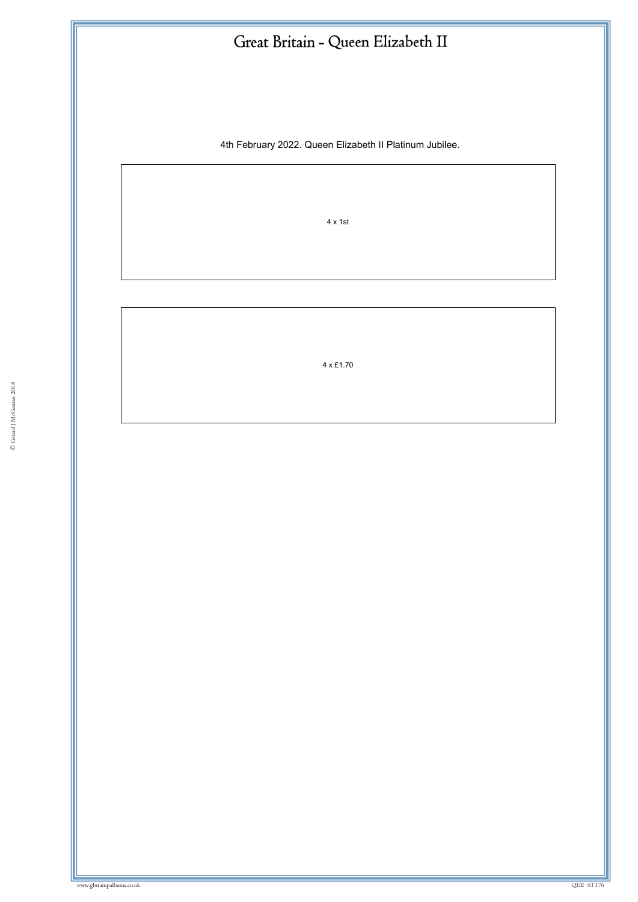4th February 2022. Queen Elizabeth II Platinum Jubilee.

4 x 1st

4 x £1.70

ww.gbstampalbums.co.uk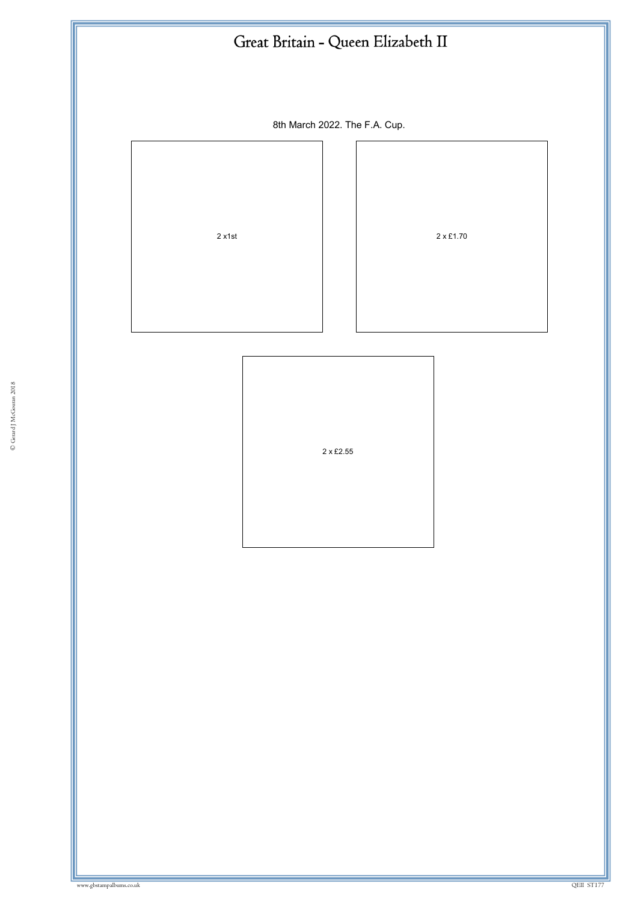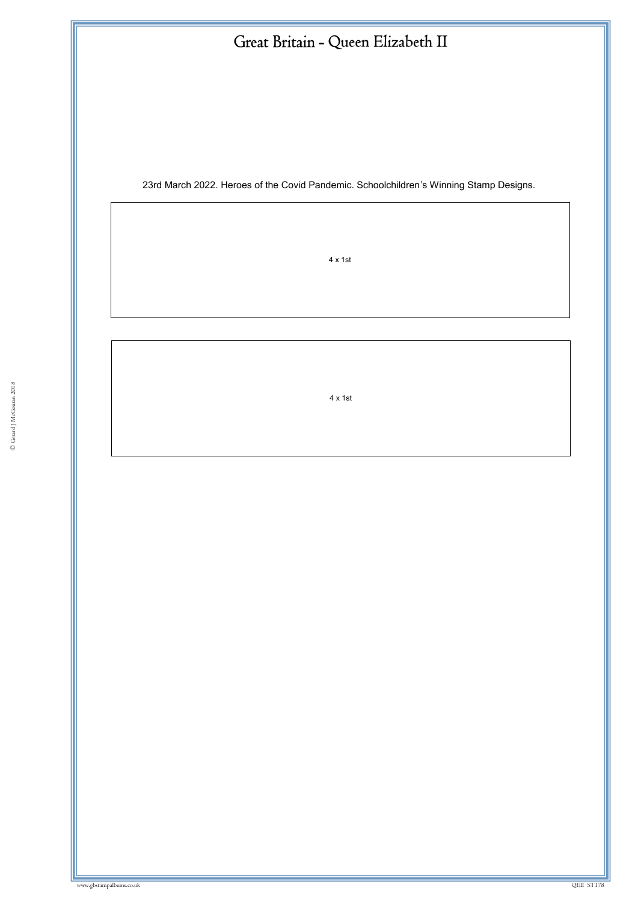23rd March 2022. Heroes of the Covid Pandemic. Schoolchildren's Winning Stamp Designs.

4 x 1st

 $4 \times 1$  st 4 x 1st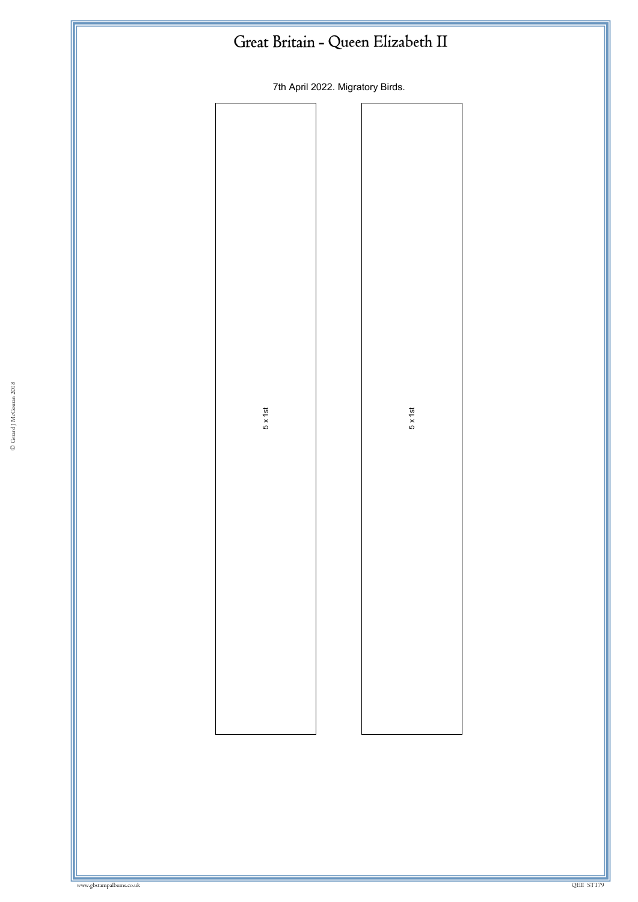| Great Britain - Queen Elizabeth II |  |                 |  |  |
|------------------------------------|--|-----------------|--|--|
| 7th April 2022. Migratory Birds.   |  |                 |  |  |
|                                    |  |                 |  |  |
|                                    |  |                 |  |  |
|                                    |  |                 |  |  |
|                                    |  |                 |  |  |
|                                    |  |                 |  |  |
|                                    |  |                 |  |  |
|                                    |  |                 |  |  |
| $5 \times 1$ st                    |  | $5 \times 1$ st |  |  |
|                                    |  |                 |  |  |
|                                    |  |                 |  |  |
|                                    |  |                 |  |  |
|                                    |  |                 |  |  |
|                                    |  |                 |  |  |
|                                    |  |                 |  |  |
|                                    |  |                 |  |  |
|                                    |  |                 |  |  |
|                                    |  |                 |  |  |